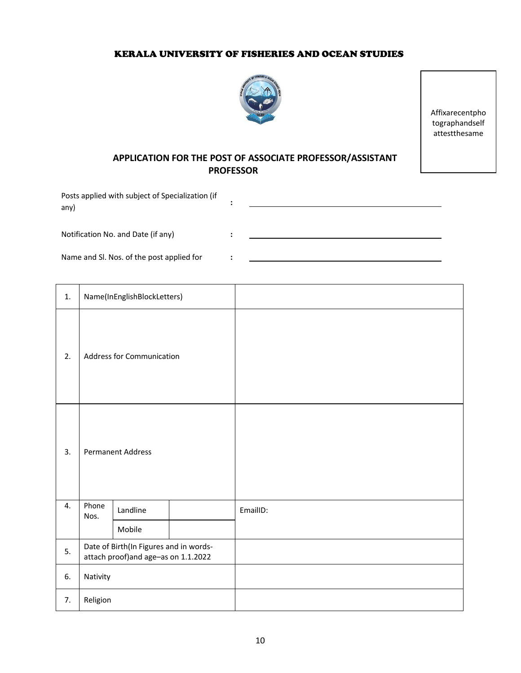## KERALA UNIVERSITY OF FISHERIES AND OCEAN STUDIES



Affixarecentpho tographandself attestthesame

## **APPLICATION FOR THE POST OF ASSOCIATE PROFESSOR/ASSISTANT PROFESSOR**

| Posts applied with subject of Specialization (if<br>any) |  |
|----------------------------------------------------------|--|
| Notification No. and Date (if any)                       |  |
| Name and SI. Nos. of the post applied for                |  |

| 1. | Name(InEnglishBlockLetters)                                                   |          |  |          |
|----|-------------------------------------------------------------------------------|----------|--|----------|
| 2. | <b>Address for Communication</b>                                              |          |  |          |
| 3. | <b>Permanent Address</b>                                                      |          |  |          |
| 4. | Phone<br>Nos.                                                                 | Landline |  | EmailID: |
|    |                                                                               | Mobile   |  |          |
| 5. | Date of Birth(In Figures and in words-<br>attach proof)and age-as on 1.1.2022 |          |  |          |
| 6. | Nativity                                                                      |          |  |          |
| 7. | Religion                                                                      |          |  |          |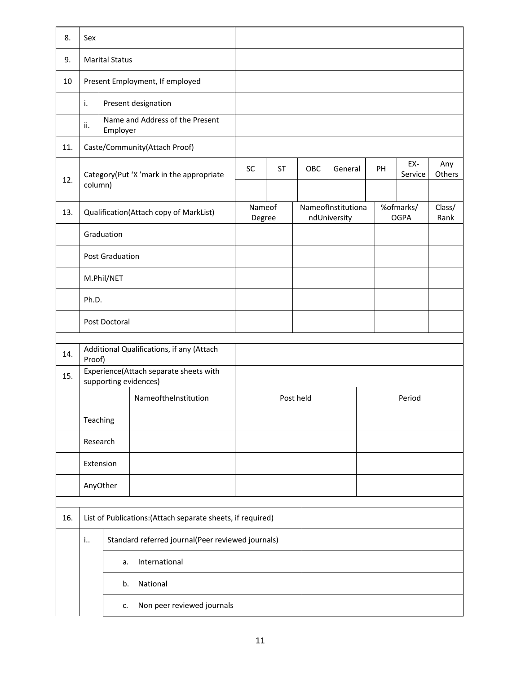| 8.  | Sex                                                                       |                        |                                        |                  |     |         |                                    |                |                          |  |
|-----|---------------------------------------------------------------------------|------------------------|----------------------------------------|------------------|-----|---------|------------------------------------|----------------|--------------------------|--|
| 9.  | <b>Marital Status</b>                                                     |                        |                                        |                  |     |         |                                    |                |                          |  |
| 10  |                                                                           |                        | Present Employment, If employed        |                  |     |         |                                    |                |                          |  |
|     | i.                                                                        |                        | Present designation                    |                  |     |         |                                    |                |                          |  |
|     | ii.                                                                       | Employer               | Name and Address of the Present        |                  |     |         |                                    |                |                          |  |
| 11. |                                                                           |                        | Caste/Community(Attach Proof)          |                  |     |         |                                    |                |                          |  |
| 12. | Category(Put 'X' mark in the appropriate<br>column)                       |                        | <b>SC</b>                              | <b>ST</b>        | OBC | General | PH                                 | EX-<br>Service | Any<br>Others            |  |
| 13. |                                                                           |                        | Qualification(Attach copy of MarkList) | Nameof<br>Degree |     |         | NameofInstitutiona<br>ndUniversity |                | %ofmarks/<br><b>OGPA</b> |  |
|     |                                                                           | Graduation             |                                        |                  |     |         |                                    |                |                          |  |
|     |                                                                           | <b>Post Graduation</b> |                                        |                  |     |         |                                    |                |                          |  |
|     |                                                                           | M.Phil/NET             |                                        |                  |     |         |                                    |                |                          |  |
|     | Ph.D.                                                                     |                        |                                        |                  |     |         |                                    |                |                          |  |
|     | Post Doctoral                                                             |                        |                                        |                  |     |         |                                    |                |                          |  |
| 14. | Additional Qualifications, if any (Attach                                 |                        |                                        |                  |     |         |                                    |                |                          |  |
| 15. | Proof)<br>Experience(Attach separate sheets with<br>supporting evidences) |                        |                                        |                  |     |         |                                    |                |                          |  |
|     | NameoftheInstitution                                                      |                        | Post held                              |                  |     | Period  |                                    |                |                          |  |
|     | Teaching                                                                  |                        |                                        |                  |     |         |                                    |                |                          |  |
|     | Research                                                                  |                        |                                        |                  |     |         |                                    |                |                          |  |
|     | Extension                                                                 |                        |                                        |                  |     |         |                                    |                |                          |  |
|     | AnyOther                                                                  |                        |                                        |                  |     |         |                                    |                |                          |  |
| 16. |                                                                           |                        |                                        |                  |     |         |                                    |                |                          |  |
|     | List of Publications: (Attach separate sheets, if required)               |                        |                                        |                  |     |         |                                    |                |                          |  |
|     | Standard referred journal(Peer reviewed journals)<br>i                    |                        |                                        |                  |     |         |                                    |                |                          |  |
|     | International<br>a.                                                       |                        |                                        |                  |     |         |                                    |                |                          |  |
|     | National<br>b.                                                            |                        |                                        |                  |     |         |                                    |                |                          |  |
|     | Non peer reviewed journals<br>c.                                          |                        |                                        |                  |     |         |                                    |                |                          |  |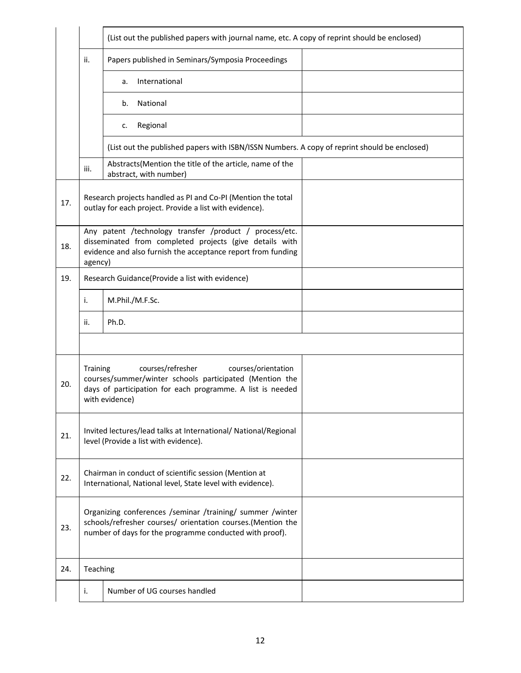|     |                                                                                                                                                                                                 | (List out the published papers with journal name, etc. A copy of reprint should be enclosed)                                                                                        |  |  |  |  |  |  |
|-----|-------------------------------------------------------------------------------------------------------------------------------------------------------------------------------------------------|-------------------------------------------------------------------------------------------------------------------------------------------------------------------------------------|--|--|--|--|--|--|
|     | ii.                                                                                                                                                                                             | Papers published in Seminars/Symposia Proceedings                                                                                                                                   |  |  |  |  |  |  |
|     |                                                                                                                                                                                                 | International<br>a.                                                                                                                                                                 |  |  |  |  |  |  |
|     |                                                                                                                                                                                                 | National<br>b.                                                                                                                                                                      |  |  |  |  |  |  |
|     |                                                                                                                                                                                                 | Regional<br>c.                                                                                                                                                                      |  |  |  |  |  |  |
|     |                                                                                                                                                                                                 | (List out the published papers with ISBN/ISSN Numbers. A copy of reprint should be enclosed)                                                                                        |  |  |  |  |  |  |
|     | Abstracts(Mention the title of the article, name of the<br>iii.<br>abstract, with number)                                                                                                       |                                                                                                                                                                                     |  |  |  |  |  |  |
| 17. | Research projects handled as PI and Co-PI (Mention the total<br>outlay for each project. Provide a list with evidence).                                                                         |                                                                                                                                                                                     |  |  |  |  |  |  |
| 18. | agency)                                                                                                                                                                                         | Any patent /technology transfer /product / process/etc.<br>disseminated from completed projects (give details with<br>evidence and also furnish the acceptance report from funding  |  |  |  |  |  |  |
| 19. |                                                                                                                                                                                                 | Research Guidance(Provide a list with evidence)                                                                                                                                     |  |  |  |  |  |  |
|     | i.                                                                                                                                                                                              | M.Phil./M.F.Sc.                                                                                                                                                                     |  |  |  |  |  |  |
|     | ii.                                                                                                                                                                                             | Ph.D.                                                                                                                                                                               |  |  |  |  |  |  |
|     |                                                                                                                                                                                                 |                                                                                                                                                                                     |  |  |  |  |  |  |
| 20. | courses/refresher<br>courses/orientation<br>Training<br>courses/summer/winter schools participated (Mention the<br>days of participation for each programme. A list is needed<br>with evidence) |                                                                                                                                                                                     |  |  |  |  |  |  |
| 21. |                                                                                                                                                                                                 | Invited lectures/lead talks at International/ National/Regional<br>level (Provide a list with evidence).                                                                            |  |  |  |  |  |  |
| 22. | Chairman in conduct of scientific session (Mention at<br>International, National level, State level with evidence).                                                                             |                                                                                                                                                                                     |  |  |  |  |  |  |
| 23. |                                                                                                                                                                                                 | Organizing conferences /seminar /training/ summer /winter<br>schools/refresher courses/ orientation courses.(Mention the<br>number of days for the programme conducted with proof). |  |  |  |  |  |  |
| 24. | Teaching                                                                                                                                                                                        |                                                                                                                                                                                     |  |  |  |  |  |  |
|     | i.                                                                                                                                                                                              | Number of UG courses handled                                                                                                                                                        |  |  |  |  |  |  |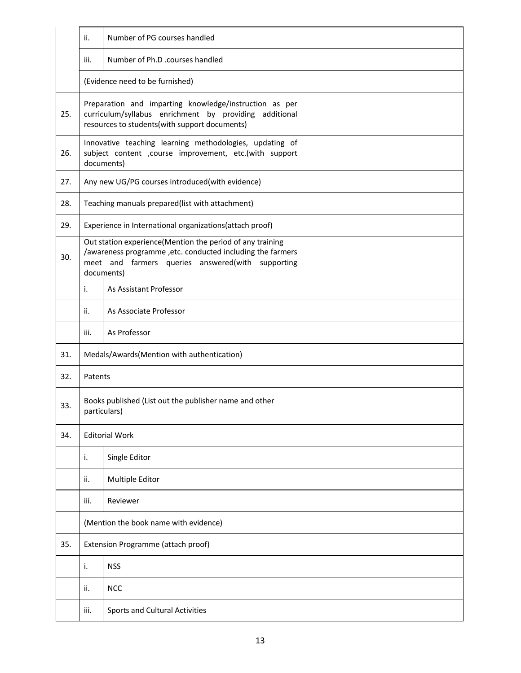|     | ii.                                                                                                                              | Number of PG courses handled                                                                                                                                                                |  |  |  |  |  |
|-----|----------------------------------------------------------------------------------------------------------------------------------|---------------------------------------------------------------------------------------------------------------------------------------------------------------------------------------------|--|--|--|--|--|
|     | iii.                                                                                                                             | Number of Ph.D .courses handled                                                                                                                                                             |  |  |  |  |  |
|     |                                                                                                                                  | (Evidence need to be furnished)                                                                                                                                                             |  |  |  |  |  |
| 25. |                                                                                                                                  | Preparation and imparting knowledge/instruction as per<br>curriculum/syllabus enrichment by providing additional<br>resources to students(with support documents)                           |  |  |  |  |  |
| 26. | Innovative teaching learning methodologies, updating of<br>subject content , course improvement, etc.(with support<br>documents) |                                                                                                                                                                                             |  |  |  |  |  |
| 27. |                                                                                                                                  | Any new UG/PG courses introduced(with evidence)                                                                                                                                             |  |  |  |  |  |
| 28. |                                                                                                                                  | Teaching manuals prepared(list with attachment)                                                                                                                                             |  |  |  |  |  |
| 29. |                                                                                                                                  | Experience in International organizations(attach proof)                                                                                                                                     |  |  |  |  |  |
| 30. |                                                                                                                                  | Out station experience(Mention the period of any training<br>/awareness programme , etc. conducted including the farmers<br>meet and farmers queries answered(with supporting<br>documents) |  |  |  |  |  |
|     | i.                                                                                                                               | As Assistant Professor                                                                                                                                                                      |  |  |  |  |  |
|     | ii.                                                                                                                              | As Associate Professor                                                                                                                                                                      |  |  |  |  |  |
|     | iii.                                                                                                                             | As Professor                                                                                                                                                                                |  |  |  |  |  |
| 31. |                                                                                                                                  | Medals/Awards(Mention with authentication)                                                                                                                                                  |  |  |  |  |  |
| 32. | Patents                                                                                                                          |                                                                                                                                                                                             |  |  |  |  |  |
| 33. | Books published (List out the publisher name and other<br>particulars)                                                           |                                                                                                                                                                                             |  |  |  |  |  |
| 34. | <b>Editorial Work</b>                                                                                                            |                                                                                                                                                                                             |  |  |  |  |  |
|     | i.                                                                                                                               | Single Editor                                                                                                                                                                               |  |  |  |  |  |
|     | ii.                                                                                                                              | Multiple Editor                                                                                                                                                                             |  |  |  |  |  |
|     | iii.                                                                                                                             | Reviewer                                                                                                                                                                                    |  |  |  |  |  |
|     | (Mention the book name with evidence)                                                                                            |                                                                                                                                                                                             |  |  |  |  |  |
| 35. | Extension Programme (attach proof)                                                                                               |                                                                                                                                                                                             |  |  |  |  |  |
|     | i.                                                                                                                               | <b>NSS</b>                                                                                                                                                                                  |  |  |  |  |  |
|     | ii.                                                                                                                              | <b>NCC</b>                                                                                                                                                                                  |  |  |  |  |  |
|     | iii.                                                                                                                             | Sports and Cultural Activities                                                                                                                                                              |  |  |  |  |  |